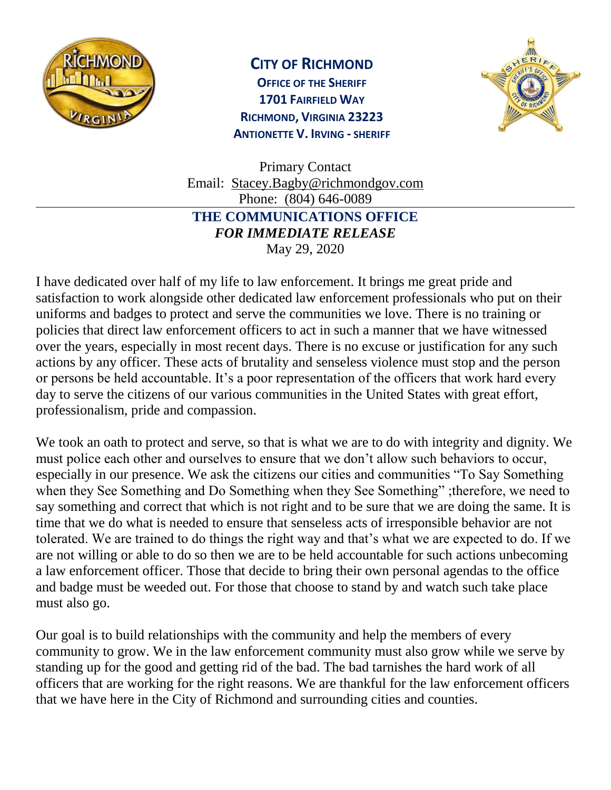

## **CITY OF RICHMOND**

**OFFICE OF THE SHERIFF 1701 FAIRFIELD WAY RICHMOND, VIRGINIA 23223 ANTIONETTE V. IRVING - SHERIFF**



Primary Contact Email: [Stacey.Bagby@richmondgov.com](mailto:Stacey.Bagby@richmondgov.com) Phone: (804) 646-0089 **THE COMMUNICATIONS OFFICE**  *FOR IMMEDIATE RELEASE* May 29, 2020

I have dedicated over half of my life to law enforcement. It brings me great pride and satisfaction to work alongside other dedicated law enforcement professionals who put on their uniforms and badges to protect and serve the communities we love. There is no training or policies that direct law enforcement officers to act in such a manner that we have witnessed over the years, especially in most recent days. There is no excuse or justification for any such actions by any officer. These acts of brutality and senseless violence must stop and the person or persons be held accountable. It's a poor representation of the officers that work hard every day to serve the citizens of our various communities in the United States with great effort, professionalism, pride and compassion.

We took an oath to protect and serve, so that is what we are to do with integrity and dignity. We must police each other and ourselves to ensure that we don't allow such behaviors to occur, especially in our presence. We ask the citizens our cities and communities "To Say Something when they See Something and Do Something when they See Something" ;therefore, we need to say something and correct that which is not right and to be sure that we are doing the same. It is time that we do what is needed to ensure that senseless acts of irresponsible behavior are not tolerated. We are trained to do things the right way and that's what we are expected to do. If we are not willing or able to do so then we are to be held accountable for such actions unbecoming a law enforcement officer. Those that decide to bring their own personal agendas to the office and badge must be weeded out. For those that choose to stand by and watch such take place must also go.

Our goal is to build relationships with the community and help the members of every community to grow. We in the law enforcement community must also grow while we serve by standing up for the good and getting rid of the bad. The bad tarnishes the hard work of all officers that are working for the right reasons. We are thankful for the law enforcement officers that we have here in the City of Richmond and surrounding cities and counties.